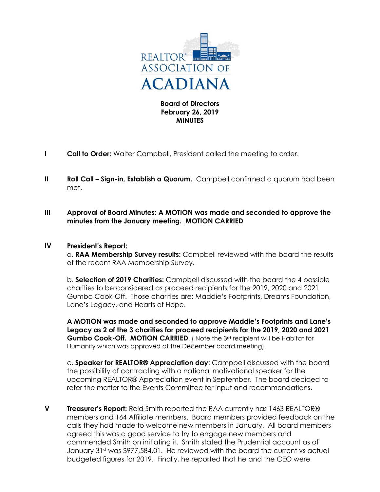

**Board of Directors February 26, 2019 MINUTES**

- **I Call to Order:** Walter Campbell, President called the meeting to order.
- **II Roll Call Sign-in, Establish a Quorum.** Campbell confirmed a quorum had been met.
- **III Approval of Board Minutes: A MOTION was made and seconded to approve the minutes from the January meeting. MOTION CARRIED**

# **IV President's Report:**

a. **RAA Membership Survey results:** Campbell reviewed with the board the results of the recent RAA Membership Survey.

b. **Selection of 2019 Charities:** Campbell discussed with the board the 4 possible charities to be considered as proceed recipients for the 2019, 2020 and 2021 Gumbo Cook-Off. Those charities are: Maddie's Footprints, Dreams Foundation, Lane's Legacy, and Hearts of Hope.

**A MOTION was made and seconded to approve Maddie's Footprints and Lane's Legacy as 2 of the 3 charities for proceed recipients for the 2019, 2020 and 2021**  Gumbo Cook-Off. MOTION CARRIED. (Note the 3<sup>rd</sup> recipient will be Habitat for Humanity which was approved at the December board meeting).

c. **Speaker for REALTOR® Appreciation day**: Campbell discussed with the board the possibility of contracting with a national motivational speaker for the upcoming REALTOR® Appreciation event in September. The board decided to refer the matter to the Events Committee for input and recommendations.

**V Treasurer's Report:** Reid Smith reported the RAA currently has 1463 REALTOR® members and 164 Affiliate members. Board members provided feedback on the calls they had made to welcome new members in January. All board members agreed this was a good service to try to engage new members and commended Smith on initiating it. Smith stated the Prudential account as of January 31<sup>st</sup> was \$977,584.01. He reviewed with the board the current vs actual budgeted figures for 2019. Finally, he reported that he and the CEO were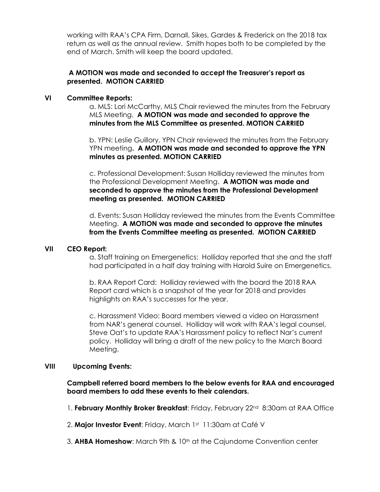working with RAA's CPA Firm, Darnall, Sikes, Gardes & Frederick on the 2018 tax return as well as the annual review. Smith hopes both to be completed by the end of March. Smith will keep the board updated.

# **A MOTION was made and seconded to accept the Treasurer's report as presented. MOTION CARRIED**

### **VI Committee Reports:**

a. MLS: Lori McCarthy, MLS Chair reviewed the minutes from the February MLS Meeting. **A MOTION was made and seconded to approve the minutes from the MLS Committee as presented. MOTION CARRIED**

b. YPN: Leslie Guillory, YPN Chair reviewed the minutes from the February YPN meeting**. A MOTION was made and seconded to approve the YPN minutes as presented. MOTION CARRIED**

c. Professional Development: Susan Holliday reviewed the minutes from the Professional Development Meeting. **A MOTION was made and seconded to approve the minutes from the Professional Development meeting as presented. MOTION CARRIED**

d. Events: Susan Holliday reviewed the minutes from the Events Committee Meeting. **A MOTION was made and seconded to approve the minutes from the Events Committee meeting as presented. MOTION CARRIED**

### **VII CEO Report:**

a. Staff training on Emergenetics: Holliday reported that she and the staff had participated in a half day training with Harold Suire on Emergenetics.

b. RAA Report Card: Holliday reviewed with the board the 2018 RAA Report card which is a snapshot of the year for 2018 and provides highlights on RAA's successes for the year.

c. Harassment Video: Board members viewed a video on Harassment from NAR's general counsel. Holliday will work with RAA's legal counsel, Steve Oat's to update RAA's Harassment policy to reflect Nar's current policy. Holliday will bring a draft of the new policy to the March Board Meeting.

# **VIII Upcoming Events:**

**Campbell referred board members to the below events for RAA and encouraged board members to add these events to their calendars.** 

1. **February Monthly Broker Breakfast**: Friday, February 22<sup>nd</sup> 8:30am at RAA Office

2. **Major Investor Event**: Friday, March 1st 11:30am at Café V

3. **AHBA Homeshow**: March 9th & 10th at the Cajundome Convention center